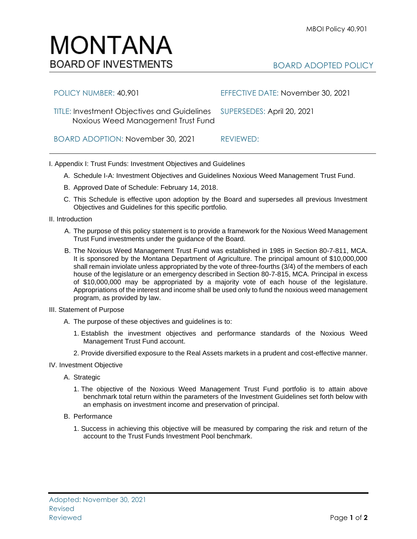## IV. Investment Objective A. Strategic

- 1. The objective of the Noxious Weed Management Trust Fund portfolio is to attain above benchmark total return within the parameters of the Investment Guidelines set forth below with an emphasis on investment income and preservation of principal.
- B. Performance
	- 1. Success in achieving this objective will be measured by comparing the risk and return of the account to the Trust Funds Investment Pool benchmark.

## BOARD ADOPTED POLICY

| POLICY NUMBER: 40.901                                                                                        | EFFECTIVE DATE: November 30, 2021 |
|--------------------------------------------------------------------------------------------------------------|-----------------------------------|
| TITLE: Investment Objectives and Guidelines SUPERSEDES: April 20, 2021<br>Noxious Weed Management Trust Fund |                                   |
| BOARD ADOPTION: November 30, 2021                                                                            | REVIEWED:                         |

I. Appendix I: Trust Funds: Investment Objectives and Guidelines

- A. Schedule I-A: Investment Objectives and Guidelines Noxious Weed Management Trust Fund.
- B. Approved Date of Schedule: February 14, 2018.
- C. This Schedule is effective upon adoption by the Board and supersedes all previous Investment Objectives and Guidelines for this specific portfolio*.*
- II. Introduction
	- A. The purpose of this policy statement is to provide a framework for the Noxious Weed Management Trust Fund investments under the guidance of the Board.
	- B. The Noxious Weed Management Trust Fund was established in 1985 in Section 80-7-811, MCA. It is sponsored by the Montana Department of Agriculture. The principal amount of \$10,000,000 shall remain inviolate unless appropriated by the vote of three-fourths (3/4) of the members of each house of the legislature or an emergency described in Section 80-7-815, MCA. Principal in excess of \$10,000,000 may be appropriated by a majority vote of each house of the legislature. Appropriations of the interest and income shall be used only to fund the noxious weed management program, as provided by law.
- III. Statement of Purpose
	- A. The purpose of these objectives and guidelines is to:
		- 1. Establish the investment objectives and performance standards of the Noxious Weed Management Trust Fund account.
		- 2. Provide diversified exposure to the Real Assets markets in a prudent and cost-effective manner.
- 

## MONTANA **BOARD OF INVESTMENTS**